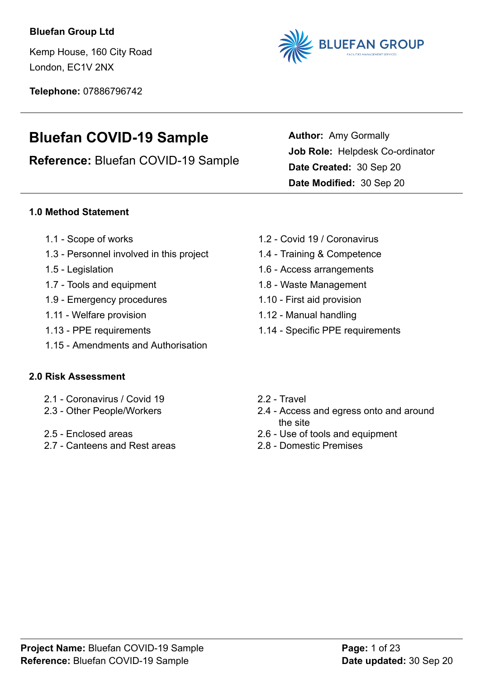### **Bluefan Group Ltd**

Kemp House, 160 City Road London, EC1V 2NX

**Telephone:** 07886796742



**Author:** Amy Gormally

**Date Created:** 30 Sep 20 **Date Modified:** 30 Sep 20

**Job Role:** Helpdesk Co-ordinator

# **Bluefan COVID-19 Sample**

**Reference:** Bluefan COVID-19 Sample

### **1.0 Method Statement**

- 
- [1.3 Personnel involved in this project](#page-2-2) [1.4 Training & Competence](#page-2-3)
- 
- [1.7 Tools and equipment](#page-3-1) [1.8 Waste Management](#page-3-2)
- [1.9 Emergency procedures](#page-3-3) [1.10 First aid provision](#page-4-0)
- [1.11 Welfare provision](#page-4-1) [1.12 Manual handling](#page-5-0)
- 
- [1.15 Amendments and Authorisation](#page-6-2)

### **2.0 Risk Assessment**

- [2.1 Coronavirus / Covid 19](#page-8-0) [2.2 Travel](#page-9-0)
- 
- 
- [2.7 Canteens and Rest areas](#page-18-0) [2.8 Domestic Premises](#page-20-0)
- [1.1 Scope of works](#page-2-0) [1.2 Covid 19 / Coronavirus](#page-2-1)
	-
- [1.5 Legislation](#page-2-4) [1.6 Access arrangements](#page-3-0)
	-
	-
	-
- [1.13 PPE requirements](#page-6-0) [1.14 Specific PPE requirements](#page-6-1)
	-
- [2.3 Other People/Workers](#page-12-0) [2.4 Access and egress onto and around](#page-15-0) [the site](#page-15-0)
- [2.5 Enclosed areas](#page-16-0) [2.6 Use of tools and equipment](#page-17-0)
	-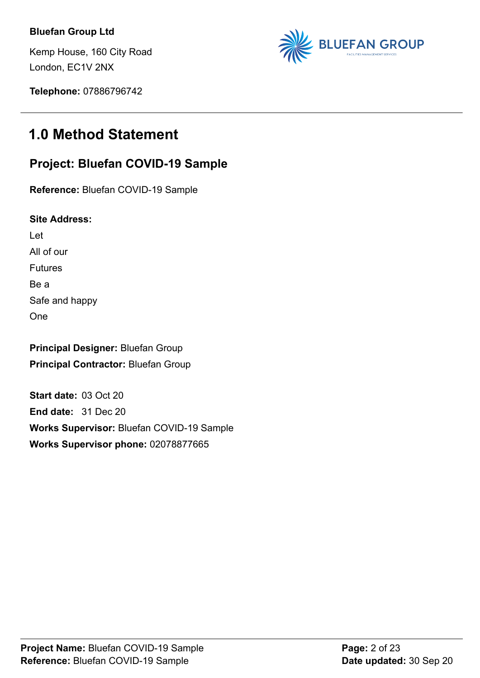### **Bluefan Group Ltd**

Kemp House, 160 City Road London, EC1V 2NX



**Telephone:** 07886796742

# **1.0 Method Statement**

## **Project: Bluefan COVID-19 Sample**

**Reference:** Bluefan COVID-19 Sample

**Site Address:**

Let

All of our Futures

Be a

Safe and happy

One

**Principal Designer:** Bluefan Group **Principal Contractor:** Bluefan Group

**Start date:** 03 Oct 20 **End date:** 31 Dec 20 **Works Supervisor:** Bluefan COVID-19 Sample **Works Supervisor phone:** 02078877665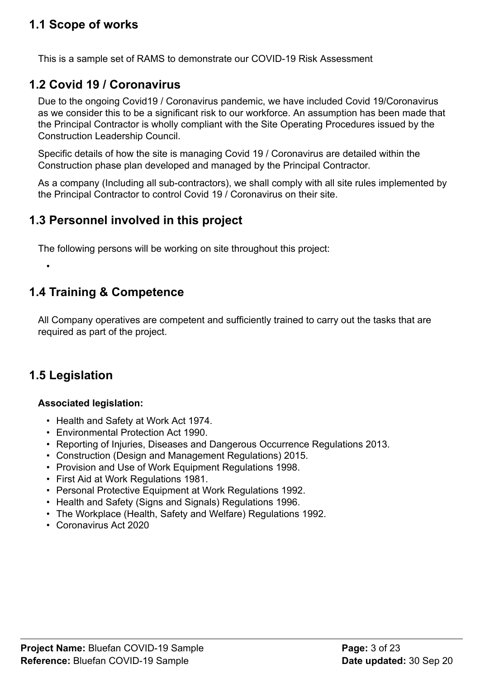# <span id="page-2-0"></span>**1.1 Scope of works**

This is a sample set of RAMS to demonstrate our COVID-19 Risk Assessment

# <span id="page-2-1"></span>**1.2 Covid 19 / Coronavirus**

Due to the ongoing Covid19 / Coronavirus pandemic, we have included Covid 19/Coronavirus as we consider this to be a significant risk to our workforce. An assumption has been made that the Principal Contractor is wholly compliant with the Site Operating Procedures issued by the Construction Leadership Council.

Specific details of how the site is managing Covid 19 / Coronavirus are detailed within the Construction phase plan developed and managed by the Principal Contractor.

As a company (Including all sub-contractors), we shall comply with all site rules implemented by the Principal Contractor to control Covid 19 / Coronavirus on their site.

## <span id="page-2-2"></span>**1.3 Personnel involved in this project**

The following persons will be working on site throughout this project:

# <span id="page-2-3"></span>**1.4 Training & Competence**

All Company operatives are competent and sufficiently trained to carry out the tasks that are required as part of the project.

# <span id="page-2-4"></span>**1.5 Legislation**

•

### **Associated legislation:**

- Health and Safety at Work Act 1974.
- Environmental Protection Act 1990.
- Reporting of Injuries, Diseases and Dangerous Occurrence Regulations 2013.
- Construction (Design and Management Regulations) 2015.
- Provision and Use of Work Equipment Regulations 1998.
- First Aid at Work Regulations 1981.
- Personal Protective Equipment at Work Regulations 1992.
- Health and Safety (Signs and Signals) Regulations 1996.
- The Workplace (Health, Safety and Welfare) Regulations 1992.
- Coronavirus Act 2020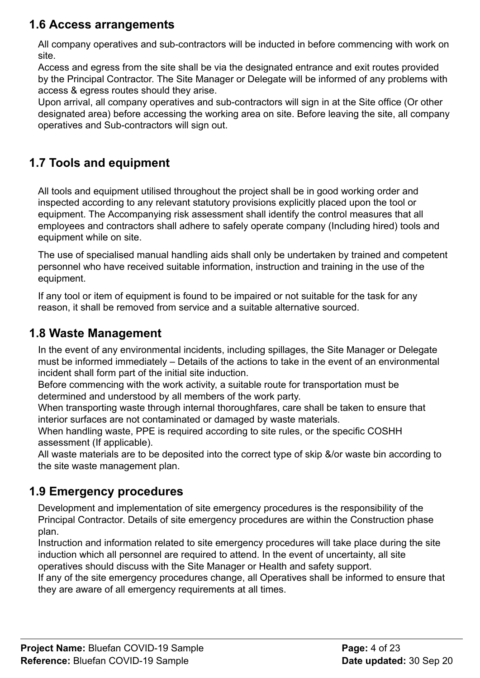# <span id="page-3-0"></span>**1.6 Access arrangements**

All company operatives and sub-contractors will be inducted in before commencing with work on site.

Access and egress from the site shall be via the designated entrance and exit routes provided by the Principal Contractor. The Site Manager or Delegate will be informed of any problems with access & egress routes should they arise.

Upon arrival, all company operatives and sub-contractors will sign in at the Site office (Or other designated area) before accessing the working area on site. Before leaving the site, all company operatives and Sub-contractors will sign out.

# <span id="page-3-1"></span>**1.7 Tools and equipment**

All tools and equipment utilised throughout the project shall be in good working order and inspected according to any relevant statutory provisions explicitly placed upon the tool or equipment. The Accompanying risk assessment shall identify the control measures that all employees and contractors shall adhere to safely operate company (Including hired) tools and equipment while on site.

The use of specialised manual handling aids shall only be undertaken by trained and competent personnel who have received suitable information, instruction and training in the use of the equipment.

If any tool or item of equipment is found to be impaired or not suitable for the task for any reason, it shall be removed from service and a suitable alternative sourced.

# <span id="page-3-2"></span>**1.8 Waste Management**

In the event of any environmental incidents, including spillages, the Site Manager or Delegate must be informed immediately – Details of the actions to take in the event of an environmental incident shall form part of the initial site induction.

Before commencing with the work activity, a suitable route for transportation must be determined and understood by all members of the work party.

When transporting waste through internal thoroughfares, care shall be taken to ensure that interior surfaces are not contaminated or damaged by waste materials.

When handling waste, PPE is required according to site rules, or the specific COSHH assessment (If applicable).

All waste materials are to be deposited into the correct type of skip &/or waste bin according to the site waste management plan.

# <span id="page-3-3"></span>**1.9 Emergency procedures**

Development and implementation of site emergency procedures is the responsibility of the Principal Contractor. Details of site emergency procedures are within the Construction phase plan.

Instruction and information related to site emergency procedures will take place during the site induction which all personnel are required to attend. In the event of uncertainty, all site operatives should discuss with the Site Manager or Health and safety support.

If any of the site emergency procedures change, all Operatives shall be informed to ensure that they are aware of all emergency requirements at all times.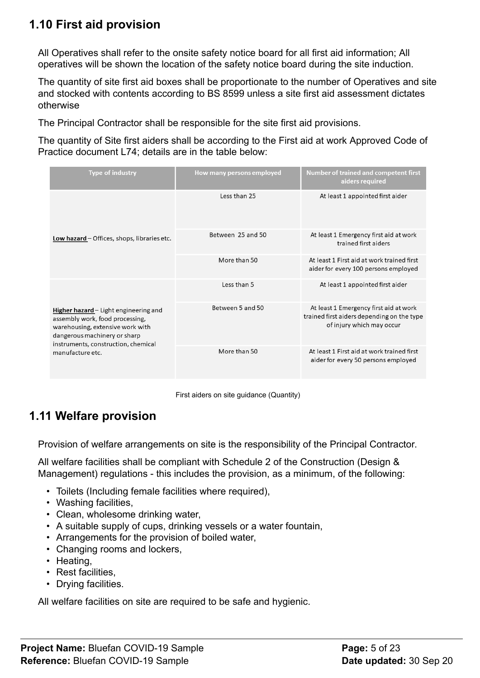# <span id="page-4-0"></span>**1.10 First aid provision**

All Operatives shall refer to the onsite safety notice board for all first aid information; All operatives will be shown the location of the safety notice board during the site induction.

The quantity of site first aid boxes shall be proportionate to the number of Operatives and site and stocked with contents according to BS 8599 unless a site first aid assessment dictates otherwise

The Principal Contractor shall be responsible for the site first aid provisions.

The quantity of Site first aiders shall be according to the First aid at work Approved Code of Practice document L74; details are in the table below:

| <b>Type of industry</b>                                                                                                                                                                                 | How many persons employed | <b>Number of trained and competent first</b><br>aiders required                                                   |
|---------------------------------------------------------------------------------------------------------------------------------------------------------------------------------------------------------|---------------------------|-------------------------------------------------------------------------------------------------------------------|
| Low hazard - Offices, shops, libraries etc.                                                                                                                                                             | Less than 25              | At least 1 appointed first aider                                                                                  |
|                                                                                                                                                                                                         | Between 25 and 50         | At least 1 Emergency first aid at work<br>trained first aiders                                                    |
|                                                                                                                                                                                                         | More than 50              | At least 1 First aid at work trained first<br>aider for every 100 persons employed                                |
| Higher hazard – Light engineering and<br>assembly work, food processing,<br>warehousing, extensive work with<br>dangerous machinery or sharp<br>instruments, construction, chemical<br>manufacture etc. | Less than 5               | At least 1 appointed first aider                                                                                  |
|                                                                                                                                                                                                         | Between 5 and 50          | At least 1 Emergency first aid at work<br>trained first aiders depending on the type<br>of injury which may occur |
|                                                                                                                                                                                                         | More than 50              | At least 1 First aid at work trained first<br>aider for every 50 persons employed                                 |

First aiders on site guidance (Quantity)

# <span id="page-4-1"></span>**1.11 Welfare provision**

Provision of welfare arrangements on site is the responsibility of the Principal Contractor.

All welfare facilities shall be compliant with Schedule 2 of the Construction (Design & Management) regulations - this includes the provision, as a minimum, of the following:

- Toilets (Including female facilities where required),
- Washing facilities,
- Clean, wholesome drinking water,
- A suitable supply of cups, drinking vessels or a water fountain,
- Arrangements for the provision of boiled water,
- Changing rooms and lockers,
- Heating,
- Rest facilities,
- Drying facilities.

All welfare facilities on site are required to be safe and hygienic.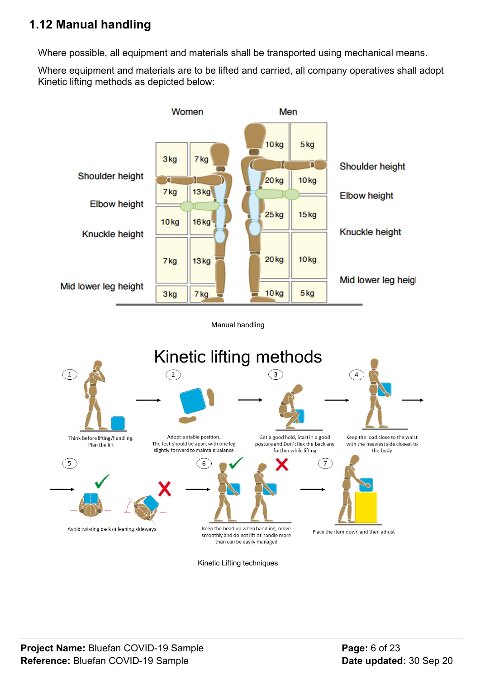# <span id="page-5-0"></span>**1.12 Manual handling**

Where possible, all equipment and materials shall be transported using mechanical means.

Where equipment and materials are to be lifted and carried, all company operatives shall adopt Kinetic lifting methods as depicted below:

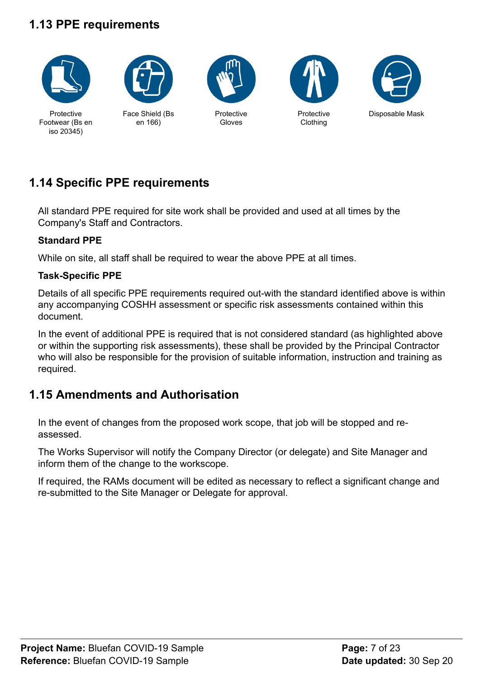# <span id="page-6-0"></span>**1.13 PPE requirements**





Face Shield (Bs en 166)



Protective Gloves





# <span id="page-6-1"></span>**1.14 Specific PPE requirements**

All standard PPE required for site work shall be provided and used at all times by the Company's Staff and Contractors.

### **Standard PPE**

While on site, all staff shall be required to wear the above PPE at all times.

### **Task-Specific PPE**

Details of all specific PPE requirements required out-with the standard identified above is within any accompanying COSHH assessment or specific risk assessments contained within this document.

In the event of additional PPE is required that is not considered standard (as highlighted above or within the supporting risk assessments), these shall be provided by the Principal Contractor who will also be responsible for the provision of suitable information, instruction and training as required.

# <span id="page-6-2"></span>**1.15 Amendments and Authorisation**

In the event of changes from the proposed work scope, that job will be stopped and reassessed.

The Works Supervisor will notify the Company Director (or delegate) and Site Manager and inform them of the change to the workscope.

If required, the RAMs document will be edited as necessary to reflect a significant change and re-submitted to the Site Manager or Delegate for approval.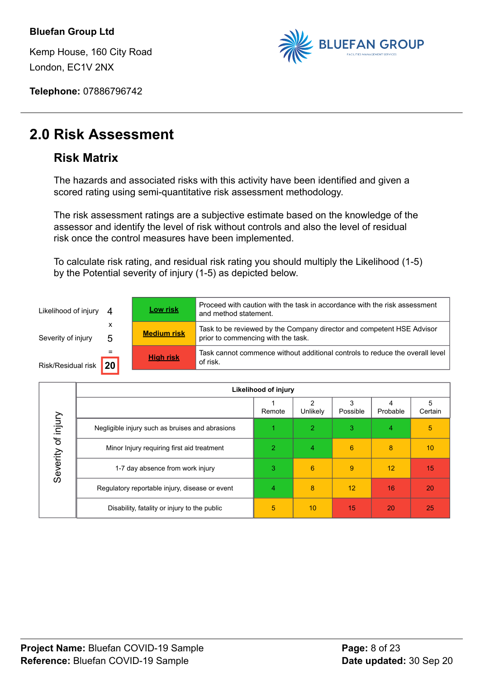Kemp House, 160 City Road London, EC1V 2NX



**Telephone:** 07886796742

# **2.0 Risk Assessment**

## **Risk Matrix**

The hazards and associated risks with this activity have been identified and given a scored rating using semi-quantitative risk assessment methodology.

The risk assessment ratings are a subjective estimate based on the knowledge of the assessor and identify the level of risk without controls and also the level of residual risk once the control measures have been implemented.

To calculate risk rating, and residual risk rating you should multiply the Likelihood (1-5) by the Potential severity of injury (1-5) as depicted below.

| Likelihood of injury 4 |        | <b>Low risk</b>    | Proceed with caution with the task in accordance with the risk assessment<br>and method statement.          |
|------------------------|--------|--------------------|-------------------------------------------------------------------------------------------------------------|
| Severity of injury     | х<br>5 | <b>Medium risk</b> | Task to be reviewed by the Company director and competent HSE Advisor<br>prior to commencing with the task. |
| Risk/Residual risk     | 20     | <b>High risk</b>   | Task cannot commence without additional controls to reduce the overall level<br>of risk.                    |

|                                     | Likelihood of injury                            |        |                |          |          |              |
|-------------------------------------|-------------------------------------------------|--------|----------------|----------|----------|--------------|
|                                     |                                                 | Remote | Unlikely       | Possible | Probable | 5<br>Certain |
| lnjury<br>$\mathcal{P}$<br>Severity | Negligible injury such as bruises and abrasions |        | $\overline{2}$ | 3        | 4        | 5            |
|                                     | Minor Injury requiring first aid treatment      | 2      | 4              | 6        | 8        | 10           |
|                                     | 1-7 day absence from work injury                | 3      | 6              | 9        | 12       | 15           |
|                                     | Regulatory reportable injury, disease or event  | 4      | 8              | 12       | 16       | 20           |
|                                     | Disability, fatality or injury to the public    | 5      | 10             | 15       | 20       | 25           |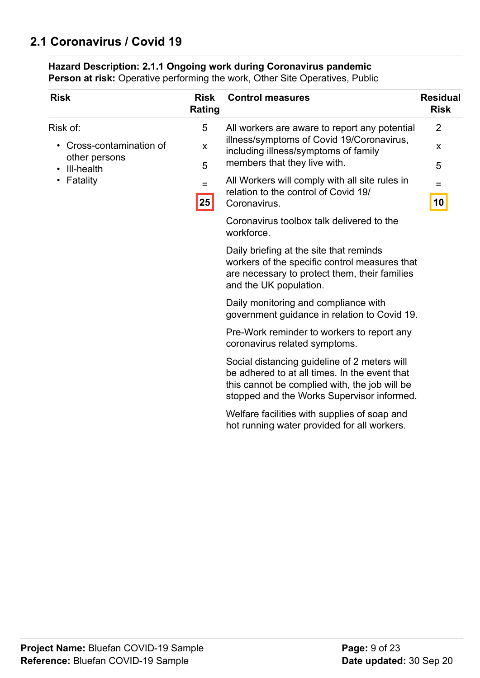# <span id="page-8-0"></span>**2.1 Coronavirus / Covid 19**

#### **Hazard Description: 2.1.1 Ongoing work during Coronavirus pandemic**

| <b>Risk</b>                                         | <b>Risk</b><br><b>Rating</b> | <b>Control measures</b>                                                                                                                                                                      | <b>Residual</b><br><b>Risk</b> |
|-----------------------------------------------------|------------------------------|----------------------------------------------------------------------------------------------------------------------------------------------------------------------------------------------|--------------------------------|
| Risk of:<br>Cross-contamination of<br>other persons | 5<br>X                       | All workers are aware to report any potential<br>illness/symptoms of Covid 19/Coronavirus,<br>including illness/symptoms of family                                                           | $\overline{2}$<br>X            |
| III-health<br>Fatality                              | 5<br>$=$<br> 25              | members that they live with.<br>All Workers will comply with all site rules in<br>relation to the control of Covid 19/<br>Coronavirus.                                                       | 5<br>$=$<br>10                 |
|                                                     |                              | Coronavirus toolbox talk delivered to the<br>workforce.                                                                                                                                      |                                |
|                                                     |                              | Daily briefing at the site that reminds<br>workers of the specific control measures that<br>are necessary to protect them, their families<br>and the UK population.                          |                                |
|                                                     |                              | Daily monitoring and compliance with<br>government guidance in relation to Covid 19.                                                                                                         |                                |
|                                                     |                              | Pre-Work reminder to workers to report any<br>coronavirus related symptoms.                                                                                                                  |                                |
|                                                     |                              | Social distancing guideline of 2 meters will<br>be adhered to at all times. In the event that<br>this cannot be complied with, the job will be<br>stopped and the Works Supervisor informed. |                                |
|                                                     |                              | Welfare facilities with supplies of soap and<br>hot running water provided for all workers.                                                                                                  |                                |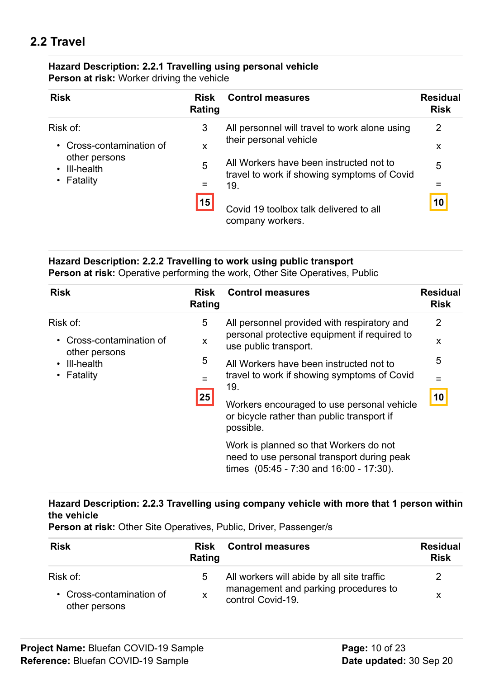# <span id="page-9-0"></span>**2.2 Travel**

### **Hazard Description: 2.2.1 Travelling using personal vehicle**

**Person at risk:** Worker driving the vehicle

| <b>Risk</b>                                                                      | <b>Risk</b><br>Rating | <b>Control measures</b>                                                                                          | <b>Residual</b><br><b>Risk</b> |
|----------------------------------------------------------------------------------|-----------------------|------------------------------------------------------------------------------------------------------------------|--------------------------------|
| Risk of:                                                                         | 3                     | All personnel will travel to work alone using                                                                    | 2                              |
| Cross-contamination of<br>$\bullet$<br>other persons<br>III-health<br>• Fatality | X                     | their personal vehicle<br>All Workers have been instructed not to<br>travel to work if showing symptoms of Covid | X                              |
|                                                                                  | 5                     |                                                                                                                  | 5                              |
|                                                                                  | 19.<br>=              | =                                                                                                                |                                |
|                                                                                  | 15                    | Covid 19 toolbox talk delivered to all<br>company workers.                                                       | 10                             |

### **Hazard Description: 2.2.2 Travelling to work using public transport**

**Person at risk:** Operative performing the work, Other Site Operatives, Public

| <b>Risk</b>                                                         | <b>Risk</b><br>Rating | <b>Control measures</b>                                                                                                         | <b>Residual</b><br><b>Risk</b> |
|---------------------------------------------------------------------|-----------------------|---------------------------------------------------------------------------------------------------------------------------------|--------------------------------|
| Risk of:                                                            | 5                     | All personnel provided with respiratory and                                                                                     | $\overline{2}$                 |
| Cross-contamination of<br>other persons<br>III-health<br>• Fatality | X<br>5<br>$=$<br> 25  | personal protective equipment if required to<br>use public transport.                                                           | X                              |
|                                                                     |                       | All Workers have been instructed not to<br>travel to work if showing symptoms of Covid<br>19.                                   | 5                              |
|                                                                     |                       |                                                                                                                                 |                                |
|                                                                     |                       | Workers encouraged to use personal vehicle<br>or bicycle rather than public transport if<br>possible.                           | $\overline{10}$                |
|                                                                     |                       | Work is planned so that Workers do not<br>need to use personal transport during peak<br>times (05:45 - 7:30 and 16:00 - 17:30). |                                |

### **Hazard Description: 2.2.3 Travelling using company vehicle with more that 1 person within the vehicle**

**Person at risk:** Other Site Operatives, Public, Driver, Passenger/s

| <b>Risk</b>                               | <b>Risk</b><br>Rating | <b>Control measures</b>                                   | <b>Residual</b><br><b>Risk</b> |
|-------------------------------------------|-----------------------|-----------------------------------------------------------|--------------------------------|
| Risk of:                                  | 5                     | All workers will abide by all site traffic                |                                |
| • Cross-contamination of<br>other persons | X                     | management and parking procedures to<br>control Covid-19. |                                |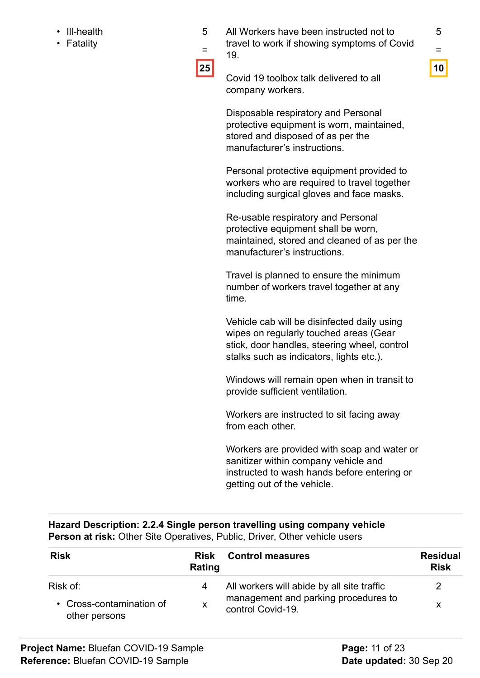- Ill-health
- Fatality

All Workers have been instructed not to travel to work if showing symptoms of Covid 19.



= **25**

5

Covid 19 toolbox talk delivered to all company workers.

Disposable respiratory and Personal protective equipment is worn, maintained, stored and disposed of as per the manufacturer's instructions.

Personal protective equipment provided to workers who are required to travel together including surgical gloves and face masks.

Re-usable respiratory and Personal protective equipment shall be worn, maintained, stored and cleaned of as per the manufacturer's instructions.

Travel is planned to ensure the minimum number of workers travel together at any time.

Vehicle cab will be disinfected daily using wipes on regularly touched areas (Gear stick, door handles, steering wheel, control stalks such as indicators, lights etc.).

Windows will remain open when in transit to provide sufficient ventilation.

Workers are instructed to sit facing away from each other.

Workers are provided with soap and water or sanitizer within company vehicle and instructed to wash hands before entering or getting out of the vehicle.

#### **Hazard Description: 2.2.4 Single person travelling using company vehicle Person at risk:** Other Site Operatives, Public, Driver, Other vehicle users

| <b>Risk</b>                               | <b>Risk</b><br>Rating | <b>Control measures</b>                                   | <b>Residual</b><br><b>Risk</b> |
|-------------------------------------------|-----------------------|-----------------------------------------------------------|--------------------------------|
| Risk of:                                  | 4                     | All workers will abide by all site traffic                |                                |
| • Cross-contamination of<br>other persons | X                     | management and parking procedures to<br>control Covid-19. | X                              |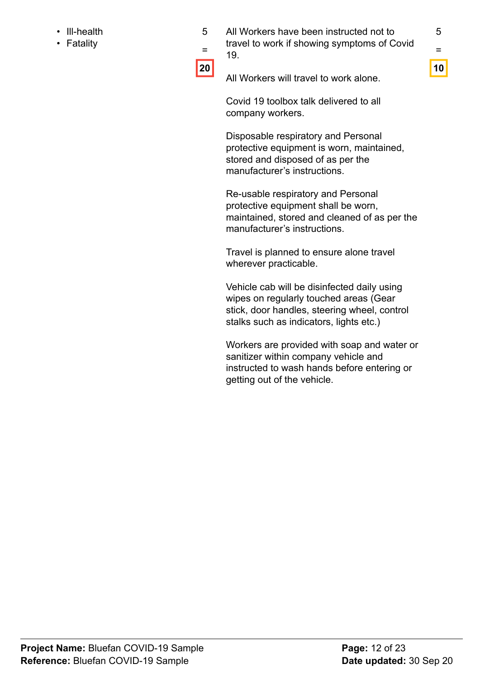- Ill-health
- Fatality

5 All Workers have been instructed not to travel to work if showing symptoms of Covid 19.

5 = **10**

= **20**

All Workers will travel to work alone.

Covid 19 toolbox talk delivered to all company workers.

Disposable respiratory and Personal protective equipment is worn, maintained, stored and disposed of as per the manufacturer's instructions.

Re-usable respiratory and Personal protective equipment shall be worn, maintained, stored and cleaned of as per the manufacturer's instructions.

Travel is planned to ensure alone travel wherever practicable.

Vehicle cab will be disinfected daily using wipes on regularly touched areas (Gear stick, door handles, steering wheel, control stalks such as indicators, lights etc.)

Workers are provided with soap and water or sanitizer within company vehicle and instructed to wash hands before entering or getting out of the vehicle.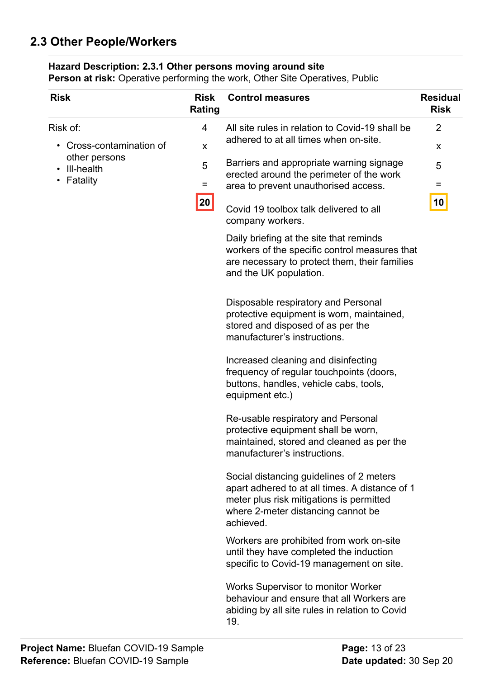# <span id="page-12-0"></span>**2.3 Other People/Workers**

### **Hazard Description: 2.3.1 Other persons moving around site**

| <b>Risk</b>                                                                     | <b>Risk</b><br>Rating                      | <b>Control measures</b>                                                                                                                                                                   | <b>Residual</b><br><b>Risk</b> |
|---------------------------------------------------------------------------------|--------------------------------------------|-------------------------------------------------------------------------------------------------------------------------------------------------------------------------------------------|--------------------------------|
| Risk of:                                                                        | 4                                          | All site rules in relation to Covid-19 shall be                                                                                                                                           | $\overline{2}$                 |
| Cross-contamination of<br>$\bullet$<br>other persons<br>III-health<br>$\bullet$ | adhered to at all times when on-site.<br>X | X                                                                                                                                                                                         |                                |
|                                                                                 | 5                                          | Barriers and appropriate warning signage<br>erected around the perimeter of the work                                                                                                      | 5                              |
| Fatality<br>$\bullet$                                                           | Ξ                                          | area to prevent unauthorised access.                                                                                                                                                      | =                              |
|                                                                                 | 20                                         | Covid 19 toolbox talk delivered to all<br>company workers.                                                                                                                                | 10                             |
|                                                                                 |                                            | Daily briefing at the site that reminds<br>workers of the specific control measures that<br>are necessary to protect them, their families<br>and the UK population.                       |                                |
|                                                                                 |                                            | Disposable respiratory and Personal<br>protective equipment is worn, maintained,<br>stored and disposed of as per the<br>manufacturer's instructions.                                     |                                |
|                                                                                 |                                            | Increased cleaning and disinfecting<br>frequency of regular touchpoints (doors,<br>buttons, handles, vehicle cabs, tools,<br>equipment etc.)                                              |                                |
|                                                                                 |                                            | Re-usable respiratory and Personal<br>protective equipment shall be worn,<br>maintained, stored and cleaned as per the<br>manufacturer's instructions.                                    |                                |
|                                                                                 |                                            | Social distancing guidelines of 2 meters<br>apart adhered to at all times. A distance of 1<br>meter plus risk mitigations is permitted<br>where 2-meter distancing cannot be<br>achieved. |                                |
|                                                                                 |                                            | Workers are prohibited from work on-site<br>until they have completed the induction<br>specific to Covid-19 management on site.                                                           |                                |
|                                                                                 |                                            | <b>Works Supervisor to monitor Worker</b><br>behaviour and ensure that all Workers are<br>abiding by all site rules in relation to Covid<br>19.                                           |                                |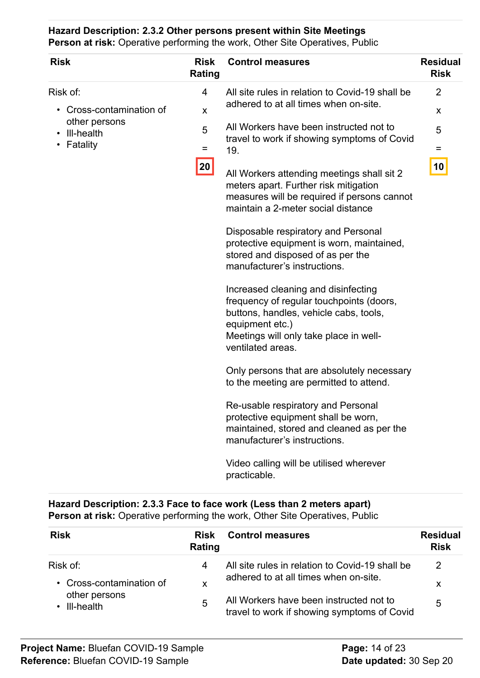**Hazard Description: 2.3.2 Other persons present within Site Meetings Person at risk:** Operative performing the work, Other Site Operatives, Public

| <b>Risk</b>                                                           | <b>Risk</b><br><b>Rating</b> | <b>Control measures</b>                                                                                                                                                                                     | <b>Residual</b><br><b>Risk</b> |
|-----------------------------------------------------------------------|------------------------------|-------------------------------------------------------------------------------------------------------------------------------------------------------------------------------------------------------------|--------------------------------|
| Risk of:                                                              | 4                            | All site rules in relation to Covid-19 shall be<br>adhered to at all times when on-site.                                                                                                                    | 2                              |
| Cross-contamination of<br>other persons<br>• III-health<br>• Fatality | X<br>5                       | All Workers have been instructed not to<br>travel to work if showing symptoms of Covid                                                                                                                      | X<br>5                         |
|                                                                       | $=$<br>20                    | 19.<br>All Workers attending meetings shall sit 2<br>meters apart. Further risk mitigation<br>measures will be required if persons cannot<br>maintain a 2-meter social distance                             | Ξ<br>10                        |
|                                                                       |                              | Disposable respiratory and Personal<br>protective equipment is worn, maintained,<br>stored and disposed of as per the<br>manufacturer's instructions.                                                       |                                |
|                                                                       |                              | Increased cleaning and disinfecting<br>frequency of regular touchpoints (doors,<br>buttons, handles, vehicle cabs, tools,<br>equipment etc.)<br>Meetings will only take place in well-<br>ventilated areas. |                                |
|                                                                       |                              | Only persons that are absolutely necessary<br>to the meeting are permitted to attend.                                                                                                                       |                                |
|                                                                       |                              | Re-usable respiratory and Personal<br>protective equipment shall be worn,<br>maintained, stored and cleaned as per the<br>manufacturer's instructions.                                                      |                                |
|                                                                       |                              | Video calling will be utilised wherever<br>practicable.                                                                                                                                                     |                                |

### **Hazard Description: 2.3.3 Face to face work (Less than 2 meters apart) Person at risk:** Operative performing the work, Other Site Operatives, Public

| <b>Risk</b>                   | <b>Risk</b><br>Rating | <b>Control measures</b>                                                                | <b>Residual</b><br><b>Risk</b> |
|-------------------------------|-----------------------|----------------------------------------------------------------------------------------|--------------------------------|
| Risk of:                      | 4                     | All site rules in relation to Covid-19 shall be                                        | 2                              |
| • Cross-contamination of      | X                     | adhered to at all times when on-site.                                                  | X                              |
| other persons<br>• III-health | 5                     | All Workers have been instructed not to<br>travel to work if showing symptoms of Covid | 5                              |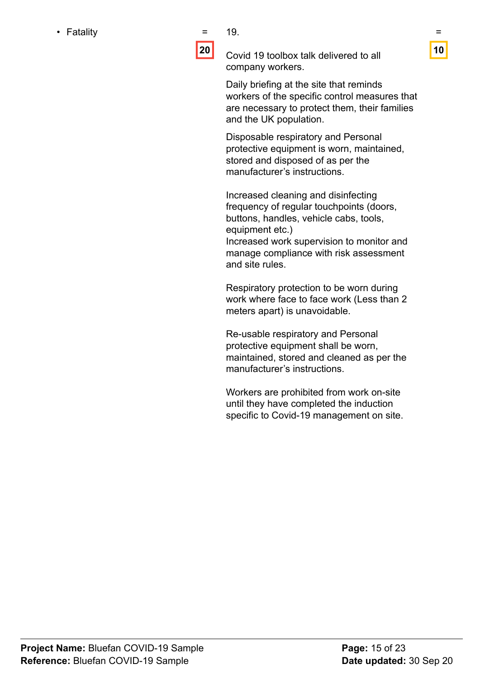• Fatality **Exercise Exercise EXECUTE:** 

19.

**20**

Covid 19 toolbox talk delivered to all company workers.

Daily briefing at the site that reminds workers of the specific control measures that are necessary to protect them, their families and the UK population.

Disposable respiratory and Personal protective equipment is worn, maintained, stored and disposed of as per the manufacturer's instructions.

Increased cleaning and disinfecting frequency of regular touchpoints (doors, buttons, handles, vehicle cabs, tools, equipment etc.)

Increased work supervision to monitor and manage compliance with risk assessment and site rules.

Respiratory protection to be worn during work where face to face work (Less than 2 meters apart) is unavoidable.

Re-usable respiratory and Personal protective equipment shall be worn, maintained, stored and cleaned as per the manufacturer's instructions.

Workers are prohibited from work on-site until they have completed the induction specific to Covid-19 management on site.

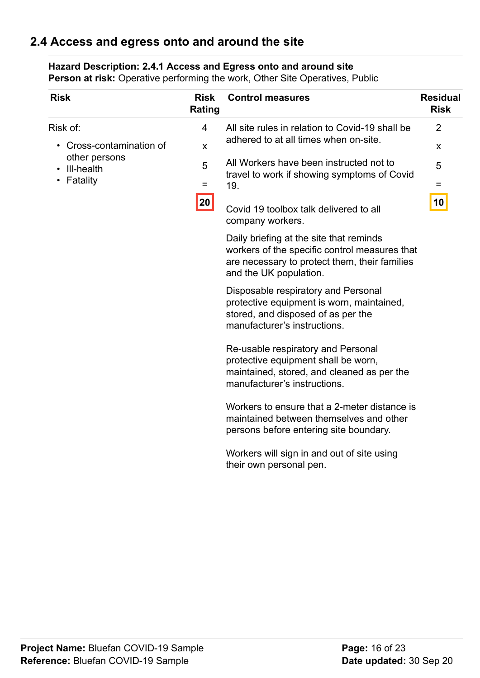## <span id="page-15-0"></span>**2.4 Access and egress onto and around the site**

#### **Hazard Description: 2.4.1 Access and Egress onto and around site**

| <b>Risk</b>                             | <b>Risk</b><br>Rating          | <b>Control measures</b>                                                                                                                                             | <b>Residual</b><br><b>Risk</b>              |
|-----------------------------------------|--------------------------------|---------------------------------------------------------------------------------------------------------------------------------------------------------------------|---------------------------------------------|
| Risk of:<br>Cross-contamination of      | 4<br>$\boldsymbol{\mathsf{x}}$ | All site rules in relation to Covid-19 shall be<br>adhered to at all times when on-site.                                                                            | $\overline{2}$<br>$\boldsymbol{\mathsf{X}}$ |
| other persons<br>III-health<br>Fatality | 5<br>=<br>20                   | All Workers have been instructed not to<br>travel to work if showing symptoms of Covid<br>19.<br>Covid 19 toolbox talk delivered to all<br>company workers.         | 5<br>=<br>10                                |
|                                         |                                | Daily briefing at the site that reminds<br>workers of the specific control measures that<br>are necessary to protect them, their families<br>and the UK population. |                                             |
|                                         |                                | Disposable respiratory and Personal<br>protective equipment is worn, maintained,<br>stored, and disposed of as per the<br>manufacturer's instructions.              |                                             |
|                                         |                                | Re-usable respiratory and Personal<br>protective equipment shall be worn,<br>maintained, stored, and cleaned as per the<br>manufacturer's instructions.             |                                             |
|                                         |                                | Workers to ensure that a 2-meter distance is<br>maintained between themselves and other<br>persons before entering site boundary.                                   |                                             |
|                                         |                                | Workers will sign in and out of site using<br>their own personal pen.                                                                                               |                                             |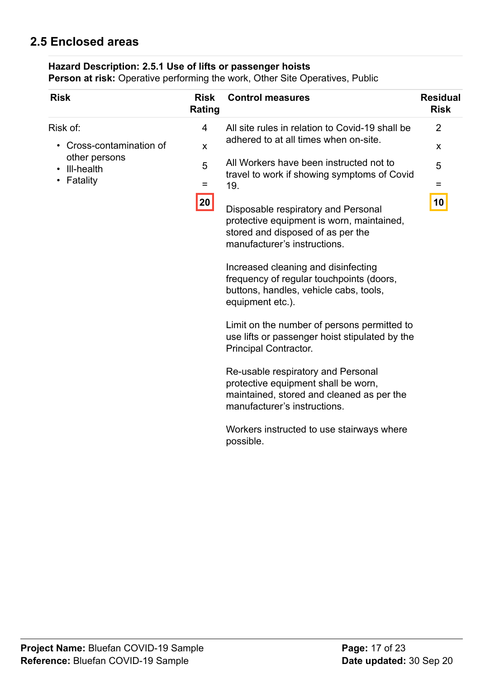# <span id="page-16-0"></span>**2.5 Enclosed areas**

### **Hazard Description: 2.5.1 Use of lifts or passenger hoists**

| <b>Risk</b>                                                                   | <b>Risk</b><br>Rating  | <b>Control measures</b>                                                                                                                                                                                                                                                                                                                                                                                                                                                                                                                                                                                                                                                                                    | <b>Residual</b><br><b>Risk</b>      |
|-------------------------------------------------------------------------------|------------------------|------------------------------------------------------------------------------------------------------------------------------------------------------------------------------------------------------------------------------------------------------------------------------------------------------------------------------------------------------------------------------------------------------------------------------------------------------------------------------------------------------------------------------------------------------------------------------------------------------------------------------------------------------------------------------------------------------------|-------------------------------------|
| Risk of:<br>Cross-contamination of<br>other persons<br>III-health<br>Fatality | 4<br>X<br>5<br>Ξ<br>20 | All site rules in relation to Covid-19 shall be<br>adhered to at all times when on-site.<br>All Workers have been instructed not to<br>travel to work if showing symptoms of Covid<br>19.<br>Disposable respiratory and Personal<br>protective equipment is worn, maintained,<br>stored and disposed of as per the<br>manufacturer's instructions.<br>Increased cleaning and disinfecting<br>frequency of regular touchpoints (doors,<br>buttons, handles, vehicle cabs, tools,<br>equipment etc.).<br>Limit on the number of persons permitted to<br>use lifts or passenger hoist stipulated by the<br>Principal Contractor.<br>Re-usable respiratory and Personal<br>protective equipment shall be worn, | $\overline{2}$<br>X<br>5<br>Ξ<br>10 |
|                                                                               |                        | maintained, stored and cleaned as per the<br>manufacturer's instructions.<br>Workers instructed to use stairways where<br>possible.                                                                                                                                                                                                                                                                                                                                                                                                                                                                                                                                                                        |                                     |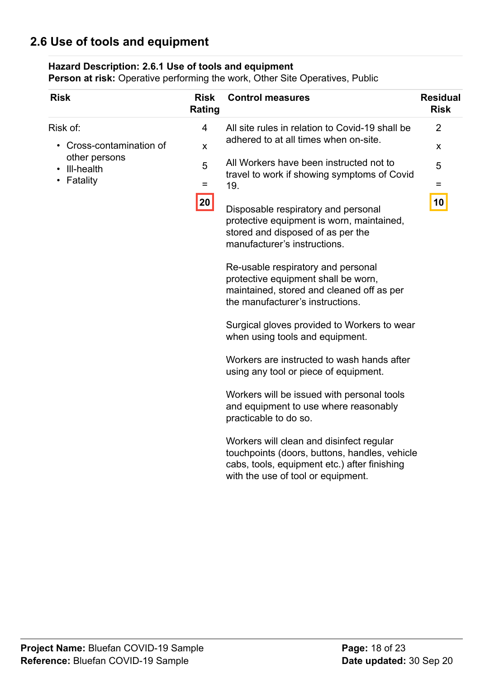# <span id="page-17-0"></span>**2.6 Use of tools and equipment**

#### **Hazard Description: 2.6.1 Use of tools and equipment**

| <b>Risk</b>                                           | <b>Risk</b><br>Rating | <b>Control measures</b>                                                                                                                                                                                  | <b>Residual</b><br><b>Risk</b> |
|-------------------------------------------------------|-----------------------|----------------------------------------------------------------------------------------------------------------------------------------------------------------------------------------------------------|--------------------------------|
| Risk of:                                              | 4                     | All site rules in relation to Covid-19 shall be<br>adhered to at all times when on-site.<br>X<br>All Workers have been instructed not to<br>5<br>travel to work if showing symptoms of Covid<br>Ξ<br>19. | $\overline{2}$                 |
| Cross-contamination of<br>other persons<br>III-health |                       |                                                                                                                                                                                                          | X                              |
|                                                       |                       |                                                                                                                                                                                                          | 5                              |
| Fatality                                              |                       |                                                                                                                                                                                                          | =                              |
|                                                       | 20                    | Disposable respiratory and personal<br>protective equipment is worn, maintained,<br>stored and disposed of as per the<br>manufacturer's instructions.                                                    | 10                             |
|                                                       |                       | Re-usable respiratory and personal<br>protective equipment shall be worn,<br>maintained, stored and cleaned off as per<br>the manufacturer's instructions.                                               |                                |
|                                                       |                       | Surgical gloves provided to Workers to wear<br>when using tools and equipment.                                                                                                                           |                                |
|                                                       |                       | Workers are instructed to wash hands after<br>using any tool or piece of equipment.                                                                                                                      |                                |
|                                                       |                       | Workers will be issued with personal tools<br>and equipment to use where reasonably<br>practicable to do so.                                                                                             |                                |
|                                                       |                       | Workers will clean and disinfect regular<br>touchpoints (doors, buttons, handles, vehicle<br>cabs, tools, equipment etc.) after finishing<br>with the use of tool or equipment.                          |                                |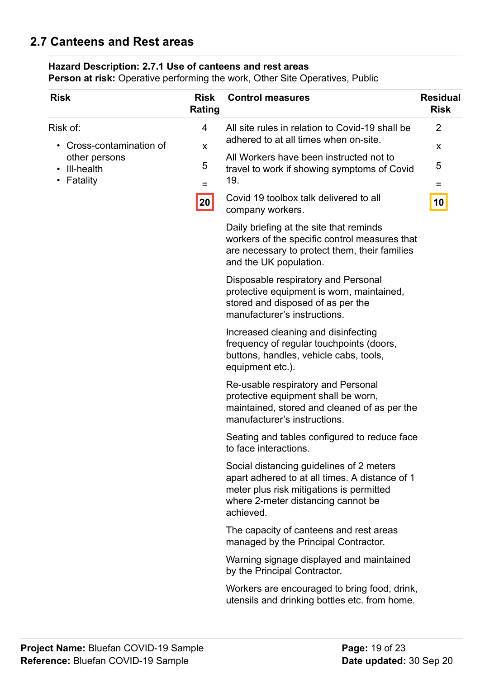## <span id="page-18-0"></span>**2.7 Canteens and Rest areas**

### **Hazard Description: 2.7.1 Use of canteens and rest areas**

| <b>Risk</b>                                                                                                          | <b>Risk</b><br>Rating              | <b>Control measures</b>                                                                                                                                                                   | <b>Residual</b><br><b>Risk</b> |
|----------------------------------------------------------------------------------------------------------------------|------------------------------------|-------------------------------------------------------------------------------------------------------------------------------------------------------------------------------------------|--------------------------------|
| Risk of:<br>Cross-contamination of<br>$\bullet$<br>other persons<br>III-health<br>$\bullet$<br>Fatality<br>$\bullet$ | 4<br>X<br>5<br>$=$<br>$\boxed{20}$ | All site rules in relation to Covid-19 shall be<br>adhered to at all times when on-site.                                                                                                  | $\overline{2}$<br>X            |
|                                                                                                                      |                                    | All Workers have been instructed not to<br>travel to work if showing symptoms of Covid<br>19.                                                                                             | 5<br>$=$                       |
|                                                                                                                      |                                    | Covid 19 toolbox talk delivered to all<br>company workers.                                                                                                                                | 10                             |
|                                                                                                                      |                                    | Daily briefing at the site that reminds<br>workers of the specific control measures that<br>are necessary to protect them, their families<br>and the UK population.                       |                                |
|                                                                                                                      |                                    | Disposable respiratory and Personal<br>protective equipment is worn, maintained,<br>stored and disposed of as per the<br>manufacturer's instructions.                                     |                                |
|                                                                                                                      |                                    | Increased cleaning and disinfecting<br>frequency of regular touchpoints (doors,<br>buttons, handles, vehicle cabs, tools,<br>equipment etc.).                                             |                                |
|                                                                                                                      |                                    | Re-usable respiratory and Personal<br>protective equipment shall be worn,<br>maintained, stored and cleaned of as per the<br>manufacturer's instructions.                                 |                                |
|                                                                                                                      |                                    | Seating and tables configured to reduce face<br>to face interactions.                                                                                                                     |                                |
|                                                                                                                      |                                    | Social distancing guidelines of 2 meters<br>apart adhered to at all times. A distance of 1<br>meter plus risk mitigations is permitted<br>where 2-meter distancing cannot be<br>achieved. |                                |
|                                                                                                                      |                                    | The capacity of canteens and rest areas<br>managed by the Principal Contractor.                                                                                                           |                                |
|                                                                                                                      |                                    | Warning signage displayed and maintained<br>by the Principal Contractor.                                                                                                                  |                                |
|                                                                                                                      |                                    | Workers are encouraged to bring food, drink,<br>utensils and drinking bottles etc. from home.                                                                                             |                                |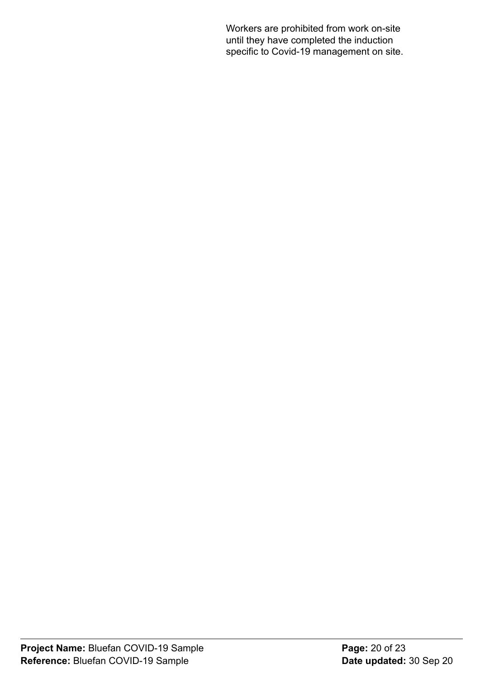Workers are prohibited from work on-site until they have completed the induction specific to Covid-19 management on site.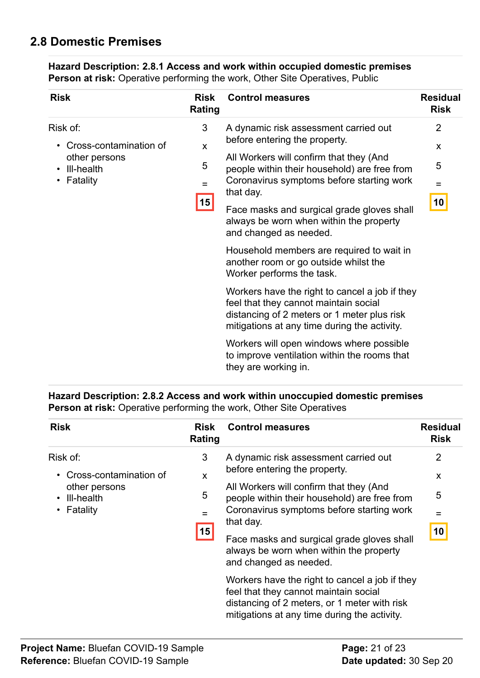# <span id="page-20-0"></span>**2.8 Domestic Premises**

| <b>Risk</b>                             | <b>Risk</b><br>Rating | <b>Control measures</b>                                                                                                                                                                | <b>Residual</b><br><b>Risk</b> |  |
|-----------------------------------------|-----------------------|----------------------------------------------------------------------------------------------------------------------------------------------------------------------------------------|--------------------------------|--|
| Risk of:                                | 3                     | A dynamic risk assessment carried out                                                                                                                                                  | $\overline{2}$                 |  |
| Cross-contamination of                  | X                     | before entering the property.                                                                                                                                                          | X                              |  |
| other persons<br>III-health<br>Fatality | 5                     | All Workers will confirm that they (And<br>people within their household) are free from<br>Coronavirus symptoms before starting work<br>that day.                                      | 5                              |  |
|                                         | $=$<br> 15            |                                                                                                                                                                                        | $\equiv$                       |  |
|                                         |                       | Face masks and surgical grade gloves shall<br>always be worn when within the property<br>and changed as needed.                                                                        | 10                             |  |
|                                         |                       | Household members are required to wait in<br>another room or go outside whilst the<br>Worker performs the task.                                                                        |                                |  |
|                                         |                       | Workers have the right to cancel a job if they<br>feel that they cannot maintain social<br>distancing of 2 meters or 1 meter plus risk<br>mitigations at any time during the activity. |                                |  |
|                                         |                       | Workers will open windows where possible<br>to improve ventilation within the rooms that<br>they are working in.                                                                       |                                |  |

**Hazard Description: 2.8.1 Access and work within occupied domestic premises Person at risk:** Operative performing the work, Other Site Operatives, Public

#### **Hazard Description: 2.8.2 Access and work within unoccupied domestic premises Person at risk:** Operative performing the work, Other Site Operatives

| <b>Risk</b>                                                                                               | <b>Risk</b><br>Rating    | <b>Control measures</b>                                                                                                                                                                                                     | <b>Residual</b><br><b>Risk</b> |  |
|-----------------------------------------------------------------------------------------------------------|--------------------------|-----------------------------------------------------------------------------------------------------------------------------------------------------------------------------------------------------------------------------|--------------------------------|--|
| Risk of:<br>Cross-contamination of<br>$\bullet$<br>other persons<br>III-health<br>$\bullet$<br>• Fatality | 3                        | A dynamic risk assessment carried out<br>before entering the property.<br>All Workers will confirm that they (And<br>people within their household) are free from<br>Coronavirus symptoms before starting work<br>that day. | $\overline{2}$                 |  |
|                                                                                                           | X<br>5<br>$\equiv$<br>15 |                                                                                                                                                                                                                             | X<br>5<br>=                    |  |
|                                                                                                           |                          | Face masks and surgical grade gloves shall<br>always be worn when within the property<br>and changed as needed.                                                                                                             | 10                             |  |
|                                                                                                           |                          | Workers have the right to cancel a job if they<br>feel that they cannot maintain social<br>distancing of 2 meters, or 1 meter with risk<br>mitigations at any time during the activity.                                     |                                |  |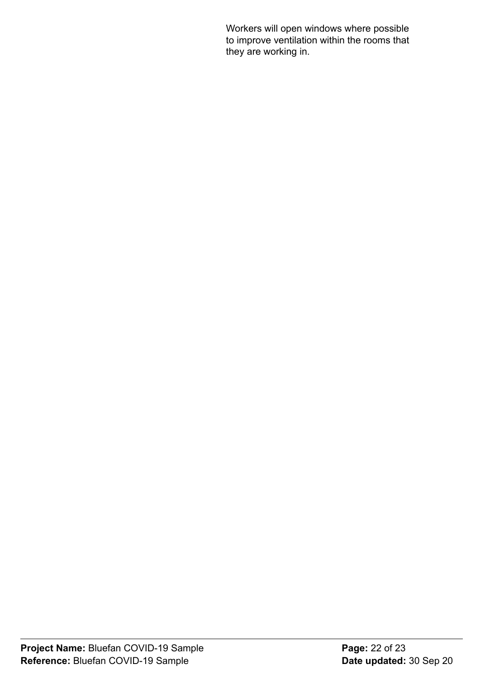Workers will open windows where possible to improve ventilation within the rooms that they are working in.